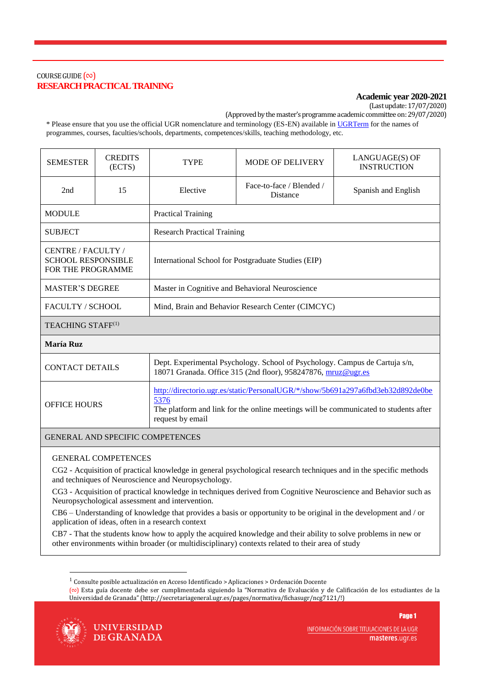# COURSE GUIDE  $(\infty)$ **RESEARCH PRACTICAL TRAINING**

## **Academic year 2020-2021**

(Last update: 17/07/2020)

(Approved by the master's programme academic committee on: 29/07/2020)

\* Please ensure that you use the official UGR nomenclature and terminology (ES-EN) available i[n UGRTerm](https://ugrterm.ugr.es/) for the names of programmes, courses, faculties/schools, departments, competences/skills, teaching methodology, etc.

| <b>SEMESTER</b>                                                             | <b>CREDITS</b><br>(ECTS) | <b>TYPE</b>                                         | <b>MODE OF DELIVERY</b>              | LANGUAGE(S) OF<br><b>INSTRUCTION</b> |  |
|-----------------------------------------------------------------------------|--------------------------|-----------------------------------------------------|--------------------------------------|--------------------------------------|--|
| 2nd                                                                         | 15                       | Elective                                            | Face-to-face / Blended /<br>Distance | Spanish and English                  |  |
| <b>MODULE</b>                                                               |                          | <b>Practical Training</b>                           |                                      |                                      |  |
| <b>SUBJECT</b>                                                              |                          | <b>Research Practical Training</b>                  |                                      |                                      |  |
| CENTRE / FACULTY /<br><b>SCHOOL RESPONSIBLE</b><br><b>FOR THE PROGRAMME</b> |                          | International School for Postgraduate Studies (EIP) |                                      |                                      |  |
| <b>MASTER'S DEGREE</b>                                                      |                          | Master in Cognitive and Behavioral Neuroscience     |                                      |                                      |  |
| <b>FACULTY / SCHOOL</b>                                                     |                          | Mind, Brain and Behavior Research Center (CIMCYC)   |                                      |                                      |  |
| TEACHING STAFF <sup>(1)</sup>                                               |                          |                                                     |                                      |                                      |  |
| <b>María Ruz</b>                                                            |                          |                                                     |                                      |                                      |  |

| <b>CONTACT DETAILS</b> | Dept. Experimental Psychology. School of Psychology. Campus de Cartuja s/n,<br>18071 Granada. Office 315 (2nd floor), 958247876, mruz@ugr.es                                                        |
|------------------------|-----------------------------------------------------------------------------------------------------------------------------------------------------------------------------------------------------|
| <b>OFFICE HOURS</b>    | http://directorio.ugr.es/static/PersonalUGR/*/show/5b691a297a6fbd3eb32d892de0be<br>5376<br>The platform and link for the online meetings will be communicated to students after<br>request by email |

### GENERAL AND SPECIFIC COMPETENCES

### GENERAL COMPETENCES

CG2 - Acquisition of practical knowledge in general psychological research techniques and in the specific methods and techniques of Neuroscience and Neuropsychology.

CG3 - Acquisition of practical knowledge in techniques derived from Cognitive Neuroscience and Behavior such as Neuropsychological assessment and intervention.

CB6 – Understanding of knowledge that provides a basis or opportunity to be original in the development and / or application of ideas, often in a research context

CB7 - That the students know how to apply the acquired knowledge and their ability to solve problems in new or other environments within broader (or multidisciplinary) contexts related to their area of study

<sup>(</sup>∾) Esta guía docente debe ser cumplimentada siguiendo la "Normativa de Evaluación y de Calificación de los estudiantes de la Universidad de Granada" (http://secretariageneral.ugr.es/pages/normativa/fichasugr/ncg7121/!)



1

**UNIVERSIDAD** DE GRANADA INFORMACIÓN SOBRE TITULACIONES DE LA UGR masteres.ugr.es

<sup>1</sup> Consulte posible actualización en Acceso Identificado > Aplicaciones > Ordenación Docente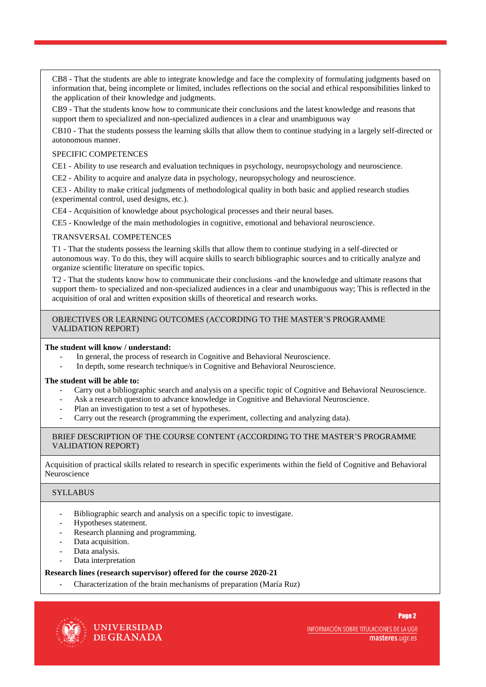CB8 - That the students are able to integrate knowledge and face the complexity of formulating judgments based on information that, being incomplete or limited, includes reflections on the social and ethical responsibilities linked to the application of their knowledge and judgments.

CB9 - That the students know how to communicate their conclusions and the latest knowledge and reasons that support them to specialized and non-specialized audiences in a clear and unambiguous way

CB10 - That the students possess the learning skills that allow them to continue studying in a largely self-directed or autonomous manner.

### SPECIFIC COMPETENCES

CE1 - Ability to use research and evaluation techniques in psychology, neuropsychology and neuroscience.

CE2 - Ability to acquire and analyze data in psychology, neuropsychology and neuroscience.

CE3 - Ability to make critical judgments of methodological quality in both basic and applied research studies (experimental control, used designs, etc.).

CE4 - Acquisition of knowledge about psychological processes and their neural bases.

CE5 - Knowledge of the main methodologies in cognitive, emotional and behavioral neuroscience.

#### TRANSVERSAL COMPETENCES

T1 - That the students possess the learning skills that allow them to continue studying in a self-directed or autonomous way. To do this, they will acquire skills to search bibliographic sources and to critically analyze and organize scientific literature on specific topics.

T2 - That the students know how to communicate their conclusions -and the knowledge and ultimate reasons that support them- to specialized and non-specialized audiences in a clear and unambiguous way; This is reflected in the acquisition of oral and written exposition skills of theoretical and research works.

#### OBJECTIVES OR LEARNING OUTCOMES (ACCORDING TO THE MASTER'S PROGRAMME VALIDATION REPORT)

#### **The student will know / understand:**

- In general, the process of research in Cognitive and Behavioral Neuroscience.
- In depth, some research technique/s in Cognitive and Behavioral Neuroscience.

#### **The student will be able to:**

- Carry out a bibliographic search and analysis on a specific topic of Cognitive and Behavioral Neuroscience.
- Ask a research question to advance knowledge in Cognitive and Behavioral Neuroscience.
- Plan an investigation to test a set of hypotheses.
- Carry out the research (programming the experiment, collecting and analyzing data).

#### BRIEF DESCRIPTION OF THE COURSE CONTENT (ACCORDING TO THE MASTER'S PROGRAMME VALIDATION REPORT)

Acquisition of practical skills related to research in specific experiments within the field of Cognitive and Behavioral Neuroscience

### **SYLLABUS**

- Bibliographic search and analysis on a specific topic to investigate.
- Hypotheses statement.
- Research planning and programming.
- Data acquisition.
- Data analysis.
- Data interpretation

#### **Research lines (research supervisor) offered for the course 2020-21**

- Characterization of the brain mechanisms of preparation (María Ruz)



**UNIVERSIDAD** DE GRANADA INFORMACIÓN SOBRE TITULACIONES DE LA UGR masteres.ugr.es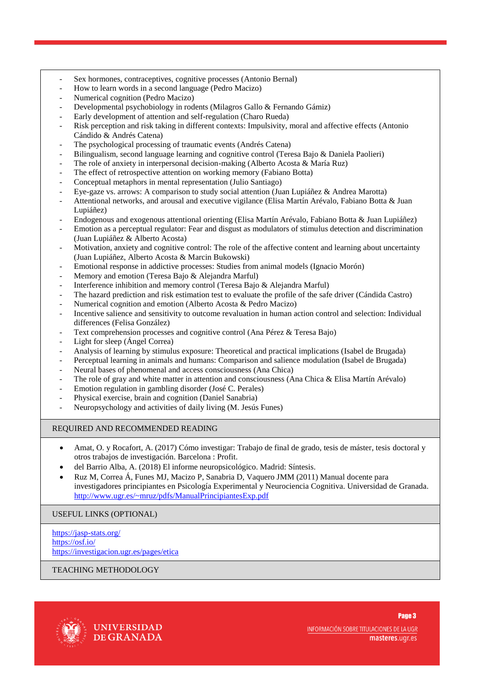- Sex hormones, contraceptives, cognitive processes (Antonio Bernal)
- How to learn words in a second language (Pedro Macizo)
- Numerical cognition (Pedro Macizo)
- Developmental psychobiology in rodents (Milagros Gallo & Fernando Gámiz)
- Early development of attention and self-regulation (Charo Rueda)
- Risk perception and risk taking in different contexts: Impulsivity, moral and affective effects (Antonio Cándido & Andrés Catena)
- The psychological processing of traumatic events (Andrés Catena)
- Bilingualism, second language learning and cognitive control (Teresa Bajo & Daniela Paolieri)
- The role of anxiety in interpersonal decision-making (Alberto Acosta & María Ruz)
- The effect of retrospective attention on working memory (Fabiano Botta)
- Conceptual metaphors in mental representation (Julio Santiago)
- Eye-gaze vs. arrows: A comparison to study social attention (Juan Lupiáñez & Andrea Marotta)
- Attentional networks, and arousal and executive vigilance (Elisa Martín Arévalo, Fabiano Botta & Juan Lupiáñez)
- Endogenous and exogenous attentional orienting (Elisa Martín Arévalo, Fabiano Botta & Juan Lupiáñez)
- Emotion as a perceptual regulator: Fear and disgust as modulators of stimulus detection and discrimination (Juan Lupiáñez & Alberto Acosta)
- Motivation, anxiety and cognitive control: The role of the affective content and learning about uncertainty (Juan Lupiáñez, Alberto Acosta & Marcin Bukowski)
- Emotional response in addictive processes: Studies from animal models (Ignacio Morón)
- Memory and emotion (Teresa Bajo & Alejandra Marful)
- Interference inhibition and memory control (Teresa Bajo & Alejandra Marful)
- The hazard prediction and risk estimation test to evaluate the profile of the safe driver (Cándida Castro)
- Numerical cognition and emotion (Alberto Acosta & Pedro Macizo)
- Incentive salience and sensitivity to outcome revaluation in human action control and selection: Individual differences (Felisa González)
- Text comprehension processes and cognitive control (Ana Pérez & Teresa Bajo)
- Light for sleep (Ángel Correa)
- Analysis of learning by stimulus exposure: Theoretical and practical implications (Isabel de Brugada)
- Perceptual learning in animals and humans: Comparison and salience modulation (Isabel de Brugada)
- Neural bases of phenomenal and access consciousness (Ana Chica)
- The role of gray and white matter in attention and consciousness (Ana Chica & Elisa Martín Arévalo)
- Emotion regulation in gambling disorder (José C. Perales)
- Physical exercise, brain and cognition (Daniel Sanabria)
- Neuropsychology and activities of daily living (M. Jesús Funes)

### REQUIRED AND RECOMMENDED READING

- Amat, O. y Rocafort, A. (2017) Cómo investigar: Trabajo de final de grado, tesis de máster, tesis doctoral y otros trabajos de investigación. Barcelona : Profit.
- del Barrio Alba, A. (2018) El informe neuropsicológico. Madrid: Síntesis.
- Ruz M, Correa Á, Funes MJ, Macizo P, Sanabria D, Vaquero JMM (2011) Manual docente para investigadores principiantes en Psicología Experimental y Neurociencia Cognitiva. Universidad de Granada. <http://www.ugr.es/~mruz/pdfs/ManualPrincipiantesExp.pdf>

### USEFUL LINKS (OPTIONAL)

<https://jasp-stats.org/> <https://osf.io/> <https://investigacion.ugr.es/pages/etica>

### TEACHING METHODOLOGY



INFORMACIÓN SOBRE TITULACIONES DE LA UGR masteres.ugr.es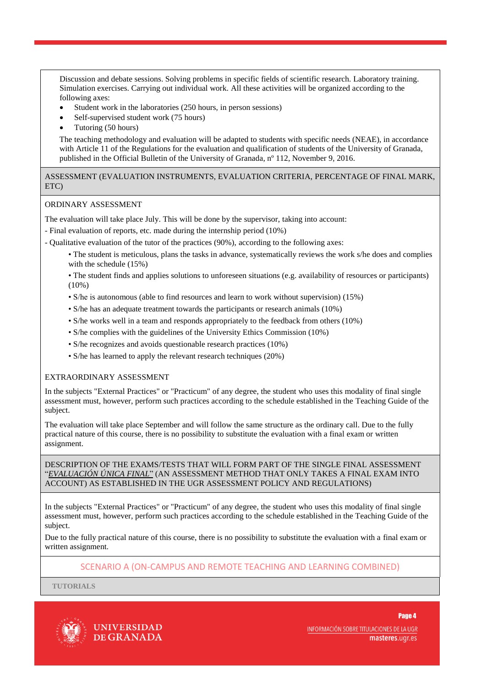Discussion and debate sessions. Solving problems in specific fields of scientific research. Laboratory training. Simulation exercises. Carrying out individual work. All these activities will be organized according to the following axes:

- Student work in the laboratories (250 hours, in person sessions)
- Self-supervised student work (75 hours)
- Tutoring (50 hours)

The teaching methodology and evaluation will be adapted to students with specific needs (NEAE), in accordance with Article 11 of the Regulations for the evaluation and qualification of students of the University of Granada, published in the Official Bulletin of the University of Granada, nº 112, November 9, 2016.

ASSESSMENT (EVALUATION INSTRUMENTS, EVALUATION CRITERIA, PERCENTAGE OF FINAL MARK, ETC)

#### ORDINARY ASSESSMENT

The evaluation will take place July. This will be done by the supervisor, taking into account:

- Final evaluation of reports, etc. made during the internship period (10%)
- Qualitative evaluation of the tutor of the practices (90%), according to the following axes:
	- The student is meticulous, plans the tasks in advance, systematically reviews the work s/he does and complies with the schedule (15%)
	- The student finds and applies solutions to unforeseen situations (e.g. availability of resources or participants)  $(10\%)$
	- S/he is autonomous (able to find resources and learn to work without supervision) (15%)
	- S/he has an adequate treatment towards the participants or research animals (10%)
	- S/he works well in a team and responds appropriately to the feedback from others (10%)
	- S/he complies with the guidelines of the University Ethics Commission (10%)
	- S/he recognizes and avoids questionable research practices (10%)
	- S/he has learned to apply the relevant research techniques (20%)

### EXTRAORDINARY ASSESSMENT

In the subjects "External Practices" or "Practicum" of any degree, the student who uses this modality of final single assessment must, however, perform such practices according to the schedule established in the Teaching Guide of the subject.

The evaluation will take place September and will follow the same structure as the ordinary call. Due to the fully practical nature of this course, there is no possibility to substitute the evaluation with a final exam or written assignment.

DESCRIPTION OF THE EXAMS/TESTS THAT WILL FORM PART OF THE SINGLE FINAL ASSESSMENT "*EVALUACIÓN ÚNICA FINAL*" (AN ASSESSMENT METHOD THAT ONLY TAKES A FINAL EXAM INTO ACCOUNT) AS ESTABLISHED IN THE UGR ASSESSMENT POLICY AND REGULATIONS)

In the subjects "External Practices" or "Practicum" of any degree, the student who uses this modality of final single assessment must, however, perform such practices according to the schedule established in the Teaching Guide of the subject.

Due to the fully practical nature of this course, there is no possibility to substitute the evaluation with a final exam or written assignment.

### SCENARIO A (ON-CAMPUS AND REMOTE TEACHING AND LEARNING COMBINED)

**TUTORIALS**



**UNIVERSIDAD** DE GRANADA INFORMACIÓN SOBRE TITULACIONES DE LA UGR masteres.ugr.es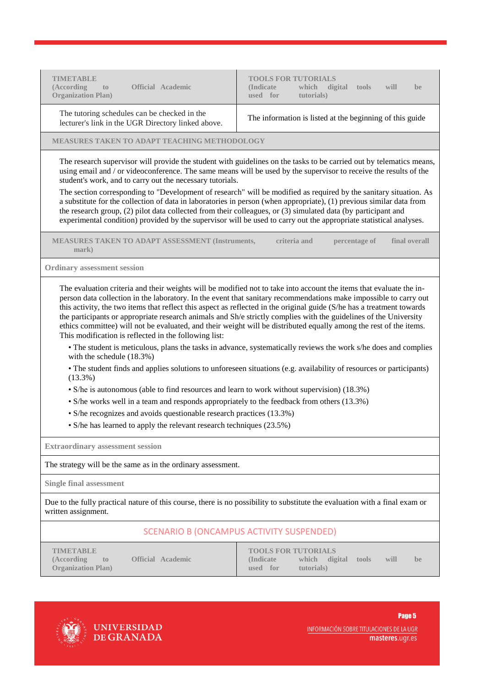| <b>TIMETABLE</b><br>(According<br><b>Official Academic</b><br>to<br><b>Organization Plan)</b>                                                                                                                                                                                                                                                                                                                                                                                                                                                                                                                                                                                                                                                                                                                                                                                                                                                                                                                                                                                                                                                                                     | <b>TOOLS FOR TUTORIALS</b><br>(Indicate)<br>which digital<br>tools<br>will<br>be<br>used for<br>tutorials)                  |  |  |  |  |
|-----------------------------------------------------------------------------------------------------------------------------------------------------------------------------------------------------------------------------------------------------------------------------------------------------------------------------------------------------------------------------------------------------------------------------------------------------------------------------------------------------------------------------------------------------------------------------------------------------------------------------------------------------------------------------------------------------------------------------------------------------------------------------------------------------------------------------------------------------------------------------------------------------------------------------------------------------------------------------------------------------------------------------------------------------------------------------------------------------------------------------------------------------------------------------------|-----------------------------------------------------------------------------------------------------------------------------|--|--|--|--|
| The tutoring schedules can be checked in the<br>lecturer's link in the UGR Directory linked above.                                                                                                                                                                                                                                                                                                                                                                                                                                                                                                                                                                                                                                                                                                                                                                                                                                                                                                                                                                                                                                                                                | The information is listed at the beginning of this guide                                                                    |  |  |  |  |
| <b>MEASURES TAKEN TO ADAPT TEACHING METHODOLOGY</b>                                                                                                                                                                                                                                                                                                                                                                                                                                                                                                                                                                                                                                                                                                                                                                                                                                                                                                                                                                                                                                                                                                                               |                                                                                                                             |  |  |  |  |
| The research supervisor will provide the student with guidelines on the tasks to be carried out by telematics means,<br>using email and / or videoconference. The same means will be used by the supervisor to receive the results of the<br>student's work, and to carry out the necessary tutorials.                                                                                                                                                                                                                                                                                                                                                                                                                                                                                                                                                                                                                                                                                                                                                                                                                                                                            |                                                                                                                             |  |  |  |  |
| The section corresponding to "Development of research" will be modified as required by the sanitary situation. As<br>a substitute for the collection of data in laboratories in person (when appropriate), (1) previous similar data from<br>the research group, (2) pilot data collected from their colleagues, or (3) simulated data (by participant and<br>experimental condition) provided by the supervisor will be used to carry out the appropriate statistical analyses.                                                                                                                                                                                                                                                                                                                                                                                                                                                                                                                                                                                                                                                                                                  |                                                                                                                             |  |  |  |  |
| <b>MEASURES TAKEN TO ADAPT ASSESSMENT (Instruments,</b><br>criteria and<br>final overall<br>percentage of<br>mark)                                                                                                                                                                                                                                                                                                                                                                                                                                                                                                                                                                                                                                                                                                                                                                                                                                                                                                                                                                                                                                                                |                                                                                                                             |  |  |  |  |
| <b>Ordinary assessment session</b>                                                                                                                                                                                                                                                                                                                                                                                                                                                                                                                                                                                                                                                                                                                                                                                                                                                                                                                                                                                                                                                                                                                                                |                                                                                                                             |  |  |  |  |
| person data collection in the laboratory. In the event that sanitary recommendations make impossible to carry out<br>this activity, the two items that reflect this aspect as reflected in the original guide (S/he has a treatment towards<br>the participants or appropriate research animals and Sh/e strictly complies with the guidelines of the University<br>ethics committee) will not be evaluated, and their weight will be distributed equally among the rest of the items.<br>This modification is reflected in the following list:<br>• The student is meticulous, plans the tasks in advance, systematically reviews the work s/he does and complies<br>with the schedule (18.3%)<br>• The student finds and applies solutions to unforeseen situations (e.g. availability of resources or participants)<br>$(13.3\%)$<br>• S/he is autonomous (able to find resources and learn to work without supervision) (18.3%)<br>• S/he works well in a team and responds appropriately to the feedback from others (13.3%)<br>· S/he recognizes and avoids questionable research practices (13.3%)<br>• S/he has learned to apply the relevant research techniques (23.5%) |                                                                                                                             |  |  |  |  |
| <b>Extraordinary assessment session</b>                                                                                                                                                                                                                                                                                                                                                                                                                                                                                                                                                                                                                                                                                                                                                                                                                                                                                                                                                                                                                                                                                                                                           |                                                                                                                             |  |  |  |  |
| The strategy will be the same as in the ordinary assessment.                                                                                                                                                                                                                                                                                                                                                                                                                                                                                                                                                                                                                                                                                                                                                                                                                                                                                                                                                                                                                                                                                                                      |                                                                                                                             |  |  |  |  |
| <b>Single final assessment</b>                                                                                                                                                                                                                                                                                                                                                                                                                                                                                                                                                                                                                                                                                                                                                                                                                                                                                                                                                                                                                                                                                                                                                    |                                                                                                                             |  |  |  |  |
| written assignment.                                                                                                                                                                                                                                                                                                                                                                                                                                                                                                                                                                                                                                                                                                                                                                                                                                                                                                                                                                                                                                                                                                                                                               | Due to the fully practical nature of this course, there is no possibility to substitute the evaluation with a final exam or |  |  |  |  |
| <b>SCENARIO B (ONCAMPUS ACTIVITY SUSPENDED)</b>                                                                                                                                                                                                                                                                                                                                                                                                                                                                                                                                                                                                                                                                                                                                                                                                                                                                                                                                                                                                                                                                                                                                   |                                                                                                                             |  |  |  |  |
| <b>TIMETABLE</b><br><b>Official Academic</b><br>(According<br>to<br><b>Organization Plan</b> )                                                                                                                                                                                                                                                                                                                                                                                                                                                                                                                                                                                                                                                                                                                                                                                                                                                                                                                                                                                                                                                                                    | <b>TOOLS FOR TUTORIALS</b><br>(Indicate)<br>which<br>digital<br>tools<br>will<br>be.<br>used for<br>(tutorials)             |  |  |  |  |
|                                                                                                                                                                                                                                                                                                                                                                                                                                                                                                                                                                                                                                                                                                                                                                                                                                                                                                                                                                                                                                                                                                                                                                                   |                                                                                                                             |  |  |  |  |



UNIVERSIDAD<br>DE GRANADA

INFORMACIÓN SOBRE TITULACIONES DE LA UGR<br>**masteres**.ugr.es